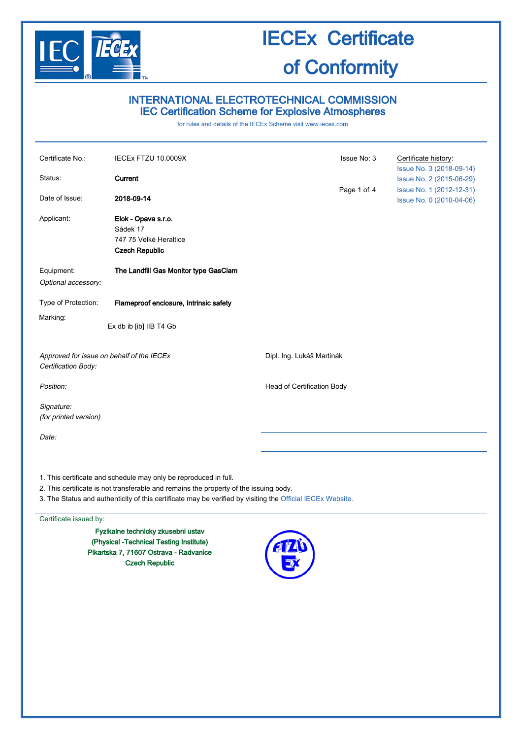

## INTERNATIONAL ELECTROTECHNICAL COMMISSION IEC Certification Scheme for Explosive Atmospheres

for rules and details of the IECEx Scheme visit [www.iecex.com](http://www.iecex.com/)

| Certificate No.:                                                 | IECEx FTZU 10.0009X                                                                                                                                       | Issue No: 3                | Certificate history:                                 |  |
|------------------------------------------------------------------|-----------------------------------------------------------------------------------------------------------------------------------------------------------|----------------------------|------------------------------------------------------|--|
|                                                                  |                                                                                                                                                           |                            | Issue No. 3 (2018-09-14)                             |  |
| Status:                                                          | Current                                                                                                                                                   |                            | Issue No. 2 (2015-06-29)                             |  |
| Date of Issue:                                                   | 2018-09-14                                                                                                                                                | Page 1 of 4                | Issue No. 1 (2012-12-31)<br>Issue No. 0 (2010-04-06) |  |
| Applicant:                                                       | Elok - Opava s.r.o.<br>Sádek 17<br>747 75 Velké Heraltice<br><b>Czech Republic</b>                                                                        |                            |                                                      |  |
| Equipment:<br>Optional accessory:                                | The Landfill Gas Monitor type GasClam                                                                                                                     |                            |                                                      |  |
| Type of Protection:                                              | Flameproof enclosure, Intrinsic safety                                                                                                                    |                            |                                                      |  |
| Marking:                                                         | Ex db ib [ib] IIB T4 Gb                                                                                                                                   |                            |                                                      |  |
| Approved for issue on behalf of the IECEx<br>Certification Body: |                                                                                                                                                           | Dipl. Ing. Lukáš Martinák  |                                                      |  |
| Position:                                                        |                                                                                                                                                           | Head of Certification Body |                                                      |  |
| Signature:<br>(for printed version)                              |                                                                                                                                                           |                            |                                                      |  |
| Date:                                                            |                                                                                                                                                           |                            |                                                      |  |
|                                                                  |                                                                                                                                                           |                            |                                                      |  |
|                                                                  | 1. This certificate and schedule may only be reproduced in full.<br>2. This certificate is not transferable and remains the property of the issuing body. |                            |                                                      |  |

3. The Status and authenticity of this certificate may be verified by visiting the [Official IECEx Website.](http://iecex.iec.ch/)

#### Certificate issued by:

Fyzikalne technicky zkusebni ustav (Physical -Technical Testing Institute) Pikartska 7, 71607 Ostrava - Radvanice Czech Republic

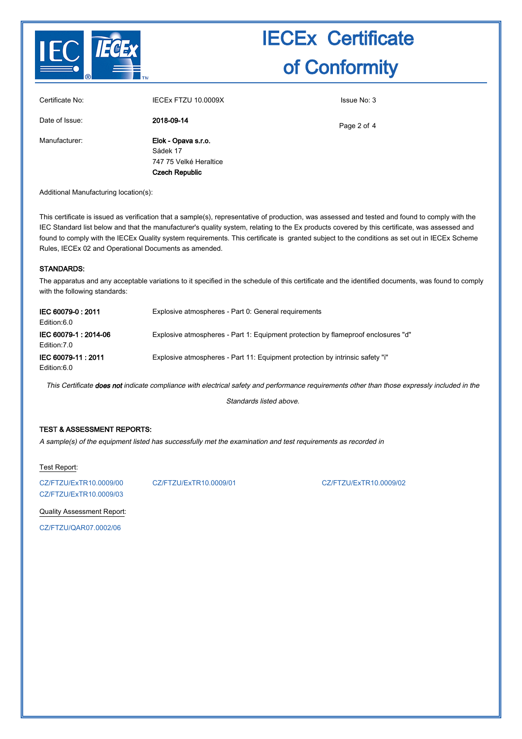

|                 | <b>Czech Republic</b>  |             |
|-----------------|------------------------|-------------|
|                 | 747 75 Velké Heraltice |             |
|                 | Sádek 17               |             |
| Manufacturer:   | Elok - Opava s.r.o.    |             |
| Date of Issue:  | 2018-09-14             | Page 2 of 4 |
| Certificate No: | IECEX FTZU 10.0009X    | Issue No: 3 |

Additional Manufacturing location(s):

This certificate is issued as verification that a sample(s), representative of production, was assessed and tested and found to comply with the IEC Standard list below and that the manufacturer's quality system, relating to the Ex products covered by this certificate, was assessed and found to comply with the IECEx Quality system requirements. This certificate is granted subject to the conditions as set out in IECEx Scheme Rules, IECEx 02 and Operational Documents as amended.

#### STANDARDS:

The apparatus and any acceptable variations to it specified in the schedule of this certificate and the identified documents, was found to comply with the following standards:

| IEC 60079-0: 2011<br>Edition:6.0      | Explosive atmospheres - Part 0: General requirements                              |
|---------------------------------------|-----------------------------------------------------------------------------------|
| IEC 60079-1 : 2014-06<br>Edition: 7.0 | Explosive atmospheres - Part 1: Equipment protection by flameproof enclosures "d" |
| IEC 60079-11: 2011<br>Edition:6.0     | Explosive atmospheres - Part 11: Equipment protection by intrinsic safety "i"     |

This Certificate does not indicate compliance with electrical safety and performance requirements other than those expressly included in the

Standards listed above.

### TEST & ASSESSMENT REPORTS:

A sample(s) of the equipment listed has successfully met the examination and test requirements as recorded in

#### Test Report:

[CZ/FTZU/ExTR10.0009/03](http://iecex.iec.ch/extr/CZ.FTZU.ExTR10.0009.03)

[CZ/FTZU/ExTR10.0009/00](http://iecex.iec.ch/extr/CZ.FTZU.ExTR10.0009.00) [CZ/FTZU/ExTR10.0009/01](http://iecex.iec.ch/extr/CZ.FTZU.ExTR10.0009.01) [CZ/FTZU/ExTR10.0009/02](http://iecex.iec.ch/extr/CZ.FTZU.ExTR10.0009.02)

Quality Assessment Report:

[CZ/FTZU/QAR07.0002/06](http://iecex.iec.ch/qar/CZ.FTZU.QAR07.0002.06)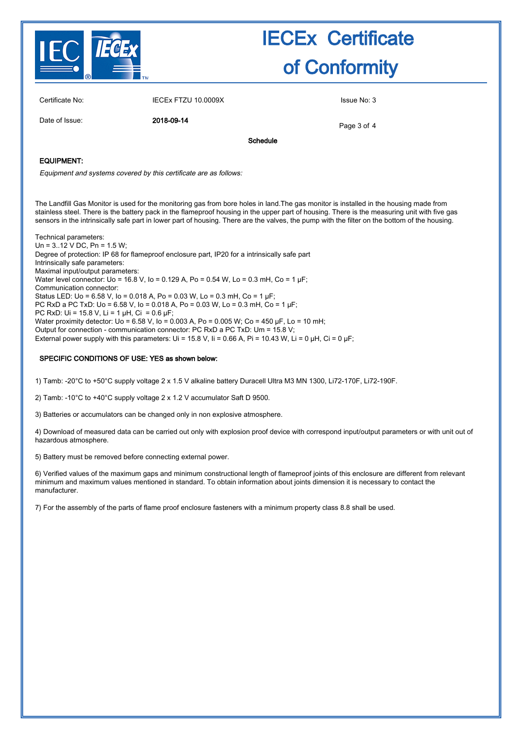

| Certificate No:   | IECEX FTZU 10.0009X |          | Issue No: 3 |
|-------------------|---------------------|----------|-------------|
| Date of Issue:    | 2018-09-14          |          | Page 3 of 4 |
|                   |                     | Schedule |             |
| <b>EQUIPMENT:</b> |                     |          |             |

Equipment and systems covered by this certificate are as follows:

The Landfill Gas Monitor is used for the monitoring gas from bore holes in land.The gas monitor is installed in the housing made from stainless steel. There is the battery pack in the flameproof housing in the upper part of housing. There is the measuring unit with five gas sensors in the intrinsically safe part in lower part of housing. There are the valves, the pump with the filter on the bottom of the housing.

Technical parameters: Un = 3..12 V DC, Pn = 1.5 W; Degree of protection: IP 68 for flameproof enclosure part, IP20 for a intrinsically safe part Intrinsically safe parameters: Maximal input/output parameters: Water level connector: Uo = 16.8 V, Io = 0.129 A, Po = 0.54 W, Lo = 0.3 mH, Co = 1 µF; Communication connector: Status LED: Uo = 6.58 V, Io = 0.018 A, Po = 0.03 W, Lo = 0.3 mH, Co = 1 µF; PC RxD a PC TxD: Uo = 6.58 V, Io = 0.018 A, Po = 0.03 W, Lo = 0.3 mH, Co = 1 µF; PC RxD: Ui = 15.8 V, Li = 1  $\mu$ H, Ci = 0.6  $\mu$ F; Water proximity detector: Uo = 6.58 V, Io = 0.003 A, Po = 0.005 W; Co = 450 µF, Lo = 10 mH; Output for connection - communication connector: PC RxD a PC TxD: Um = 15.8 V; External power supply with this parameters: Ui = 15.8 V, Ii = 0.66 A, Pi = 10.43 W, Li = 0 µH, Ci = 0 µF;

#### SPECIFIC CONDITIONS OF USE: YES as shown below:

1) Tamb: -20°C to +50°C supply voltage 2 x 1.5 V alkaline battery Duracell Ultra M3 MN 1300, Li72-170F, Li72-190F.

2) Tamb: -10°C to +40°C supply voltage 2 x 1.2 V accumulator Saft D 9500.

3) Batteries or accumulators can be changed only in non explosive atmosphere.

4) Download of measured data can be carried out only with explosion proof device with correspond input/output parameters or with unit out of hazardous atmosphere.

5) Battery must be removed before connecting external power.

6) Verified values of the maximum gaps and minimum constructional length of flameproof joints of this enclosure are different from relevant minimum and maximum values mentioned in standard. To obtain information about joints dimension it is necessary to contact the manufacturer.

7) For the assembly of the parts of flame proof enclosure fasteners with a minimum property class 8.8 shall be used.